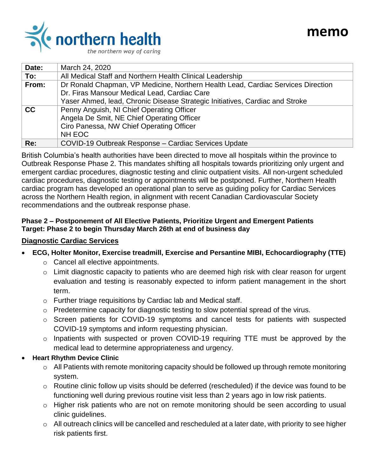

| Date: | March 24, 2020                                                                   |
|-------|----------------------------------------------------------------------------------|
| To:   | All Medical Staff and Northern Health Clinical Leadership                        |
| From: | Dr Ronald Chapman, VP Medicine, Northern Health Lead, Cardiac Services Direction |
|       | Dr. Firas Mansour Medical Lead, Cardiac Care                                     |
|       | Yaser Ahmed, lead, Chronic Disease Strategic Initiatives, Cardiac and Stroke     |
| cc    | Penny Anguish, NI Chief Operating Officer                                        |
|       | Angela De Smit, NE Chief Operating Officer                                       |
|       | Ciro Panessa, NW Chief Operating Officer                                         |
|       | NH EOC                                                                           |
| Re:   | COVID-19 Outbreak Response - Cardiac Services Update                             |

British Columbia's health authorities have been directed to move all hospitals within the province to Outbreak Response Phase 2. This mandates shifting all hospitals towards prioritizing only urgent and emergent cardiac procedures, diagnostic testing and clinic outpatient visits. All non-urgent scheduled cardiac procedures, diagnostic testing or appointments will be postponed. Further, Northern Health cardiac program has developed an operational plan to serve as guiding policy for Cardiac Services across the Northern Health region, in alignment with recent Canadian Cardiovascular Society recommendations and the outbreak response phase.

## **Phase 2 – Postponement of All Elective Patients, Prioritize Urgent and Emergent Patients Target: Phase 2 to begin Thursday March 26th at end of business day**

## **Diagnostic Cardiac Services**

- **ECG, Holter Monitor, Exercise treadmill, Exercise and Persantine MIBI, Echocardiography (TTE)**
	- o Cancel all elective appointments.
	- o Limit diagnostic capacity to patients who are deemed high risk with clear reason for urgent evaluation and testing is reasonably expected to inform patient management in the short term.
	- o Further triage requisitions by Cardiac lab and Medical staff.
	- o Predetermine capacity for diagnostic testing to slow potential spread of the virus.
	- o Screen patients for COVID-19 symptoms and cancel tests for patients with suspected COVID-19 symptoms and inform requesting physician.
	- o Inpatients with suspected or proven COVID-19 requiring TTE must be approved by the medical lead to determine appropriateness and urgency.
- **Heart Rhythm Device Clinic**
	- o All Patients with remote monitoring capacity should be followed up through remote monitoring system.
	- o Routine clinic follow up visits should be deferred (rescheduled) if the device was found to be functioning well during previous routine visit less than 2 years ago in low risk patients.
	- o Higher risk patients who are not on remote monitoring should be seen according to usual clinic guidelines.
	- $\circ$  All outreach clinics will be cancelled and rescheduled at a later date, with priority to see higher risk patients first.